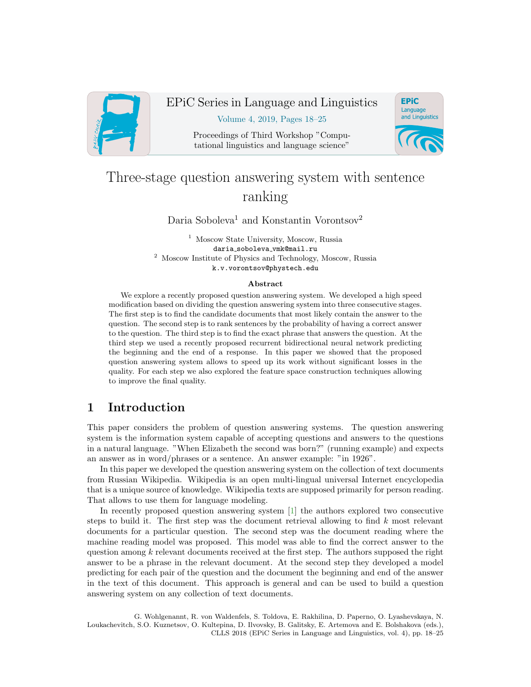

# EPiC Series in Language and Linguistics

Volume 4, 2019, Pages 18–25

Proceedings of Third Workshop "Computational linguistics and language science"



# Three-stage question answering system with sentence ranking

Daria Soboleva<sup>1</sup> and Konstantin Vorontsov<sup>2</sup>

<sup>1</sup> Moscow State University, Moscow, Russia daria soboleva vmk@mail.ru <sup>2</sup> Moscow Institute of Physics and Technology, Moscow, Russia k.v.vorontsov@phystech.edu

#### Abstract

We explore a recently proposed question answering system. We developed a high speed modification based on dividing the question answering system into three consecutive stages. The first step is to find the candidate documents that most likely contain the answer to the question. The second step is to rank sentences by the probability of having a correct answer to the question. The third step is to find the exact phrase that answers the question. At the third step we used a recently proposed recurrent bidirectional neural network predicting the beginning and the end of a response. In this paper we showed that the proposed question answering system allows to speed up its work without significant losses in the quality. For each step we also explored the feature space construction techniques allowing to improve the final quality.

# 1 Introduction

This paper considers the problem of question answering systems. The question answering system is the information system capable of accepting questions and answers to the questions in a natural language. "When Elizabeth the second was born?" (running example) and expects an answer as in word/phrases or a sentence. An answer example: "in 1926".

In this paper we developed the question answering system on the collection of text documents from Russian Wikipedia. Wikipedia is an open multi-lingual universal Internet encyclopedia that is a unique source of knowledge. Wikipedia texts are supposed primarily for person reading. That allows to use them for language modeling.

In recently proposed question answering system [\[1\]](#page-6-0) the authors explored two consecutive steps to build it. The first step was the document retrieval allowing to find  $k$  most relevant documents for a particular question. The second step was the document reading where the machine reading model was proposed. This model was able to find the correct answer to the question among  $k$  relevant documents received at the first step. The authors supposed the right answer to be a phrase in the relevant document. At the second step they developed a model predicting for each pair of the question and the document the beginning and end of the answer in the text of this document. This approach is general and can be used to build a question answering system on any collection of text documents.

G. Wohlgenannt, R. von Waldenfels, S. Toldova, E. Rakhilina, D. Paperno, O. Lyashevskaya, N. Loukachevitch, S.O. Kuznetsov, O. Kultepina, D. Ilvovsky, B. Galitsky, E. Artemova and E. Bolshakova (eds.), CLLS 2018 (EPiC Series in Language and Linguistics, vol. 4), pp. 18–25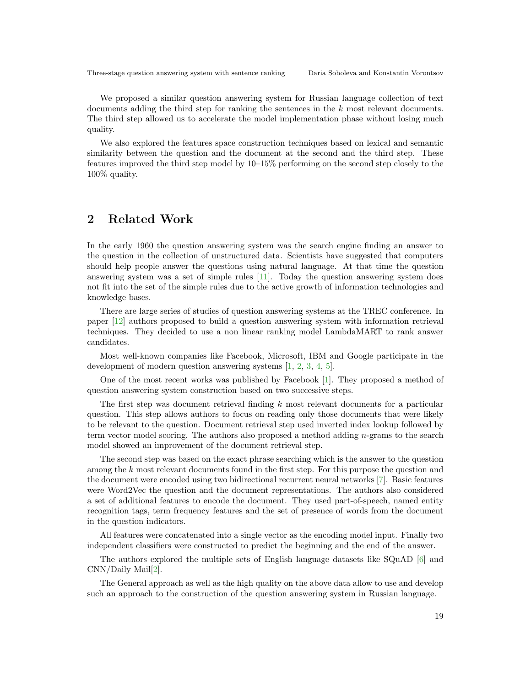We proposed a similar question answering system for Russian language collection of text documents adding the third step for ranking the sentences in the k most relevant documents. The third step allowed us to accelerate the model implementation phase without losing much quality.

We also explored the features space construction techniques based on lexical and semantic similarity between the question and the document at the second and the third step. These features improved the third step model by 10–15% performing on the second step closely to the 100% quality.

### 2 Related Work

In the early 1960 the question answering system was the search engine finding an answer to the question in the collection of unstructured data. Scientists have suggested that computers should help people answer the questions using natural language. At that time the question answering system was a set of simple rules  $[11]$ . Today the question answering system does not fit into the set of the simple rules due to the active growth of information technologies and knowledge bases.

There are large series of studies of question answering systems at the TREC conference. In paper [\[12\]](#page-7-1) authors proposed to build a question answering system with information retrieval techniques. They decided to use a non linear ranking model LambdaMART to rank answer candidates.

Most well-known companies like Facebook, Microsoft, IBM and Google participate in the development of modern question answering systems [\[1,](#page-6-0) [2,](#page-6-1) [3,](#page-6-2) [4,](#page-6-3) [5\]](#page-7-2).

One of the most recent works was published by Facebook [\[1\]](#page-6-0). They proposed a method of question answering system construction based on two successive steps.

The first step was document retrieval finding  $k$  most relevant documents for a particular question. This step allows authors to focus on reading only those documents that were likely to be relevant to the question. Document retrieval step used inverted index lookup followed by term vector model scoring. The authors also proposed a method adding n-grams to the search model showed an improvement of the document retrieval step.

The second step was based on the exact phrase searching which is the answer to the question among the k most relevant documents found in the first step. For this purpose the question and the document were encoded using two bidirectional recurrent neural networks [\[7\]](#page-7-3). Basic features were Word2Vec the question and the document representations. The authors also considered a set of additional features to encode the document. They used part-of-speech, named entity recognition tags, term frequency features and the set of presence of words from the document in the question indicators.

All features were concatenated into a single vector as the encoding model input. Finally two independent classifiers were constructed to predict the beginning and the end of the answer.

The authors explored the multiple sets of English language datasets like SQuAD [\[6\]](#page-7-4) and CNN/Daily Mail[\[2\]](#page-6-1).

The General approach as well as the high quality on the above data allow to use and develop such an approach to the construction of the question answering system in Russian language.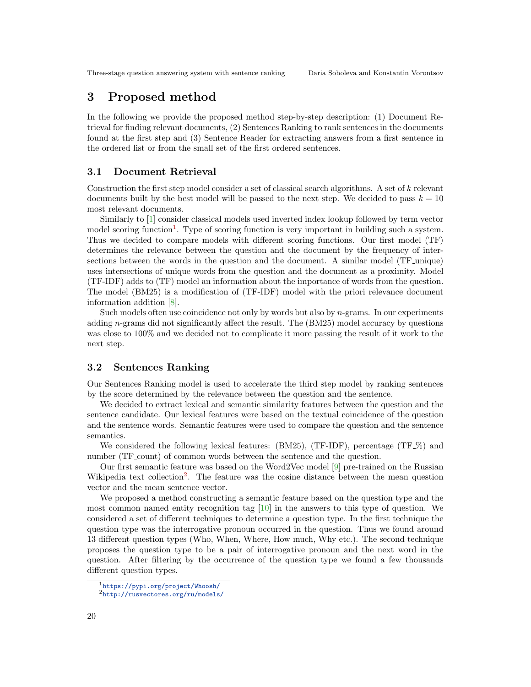### 3 Proposed method

In the following we provide the proposed method step-by-step description: (1) Document Retrieval for finding relevant documents, (2) Sentences Ranking to rank sentences in the documents found at the first step and (3) Sentence Reader for extracting answers from a first sentence in the ordered list or from the small set of the first ordered sentences.

#### 3.1 Document Retrieval

Construction the first step model consider a set of classical search algorithms. A set of k relevant documents built by the best model will be passed to the next step. We decided to pass  $k = 10$ most relevant documents.

Similarly to [\[1\]](#page-6-0) consider classical models used inverted index lookup followed by term vector model scoring function<sup>[1](#page-2-0)</sup>. Type of scoring function is very important in building such a system. Thus we decided to compare models with different scoring functions. Our first model (TF) determines the relevance between the question and the document by the frequency of intersections between the words in the question and the document. A similar model (TF unique) uses intersections of unique words from the question and the document as a proximity. Model (TF-IDF) adds to (TF) model an information about the importance of words from the question. The model (BM25) is a modification of (TF-IDF) model with the priori relevance document information addition [\[8\]](#page-7-5).

Such models often use coincidence not only by words but also by  $n$ -grams. In our experiments adding n-grams did not significantly affect the result. The  $(BM25)$  model accuracy by questions was close to 100% and we decided not to complicate it more passing the result of it work to the next step.

#### 3.2 Sentences Ranking

Our Sentences Ranking model is used to accelerate the third step model by ranking sentences by the score determined by the relevance between the question and the sentence.

We decided to extract lexical and semantic similarity features between the question and the sentence candidate. Our lexical features were based on the textual coincidence of the question and the sentence words. Semantic features were used to compare the question and the sentence semantics.

We considered the following lexical features: (BM25), (TF-IDF), percentage (TF-\%) and number (TF\_count) of common words between the sentence and the question.

Our first semantic feature was based on the Word2Vec model [\[9\]](#page-7-6) pre-trained on the Russian Wikipedia text collection<sup>[2](#page-2-1)</sup>. The feature was the cosine distance between the mean question vector and the mean sentence vector.

We proposed a method constructing a semantic feature based on the question type and the most common named entity recognition tag  $[10]$  in the answers to this type of question. We considered a set of different techniques to determine a question type. In the first technique the question type was the interrogative pronoun occurred in the question. Thus we found around 13 different question types (Who, When, Where, How much, Why etc.). The second technique proposes the question type to be a pair of interrogative pronoun and the next word in the question. After filtering by the occurrence of the question type we found a few thousands different question types.

<span id="page-2-0"></span><sup>1</sup><https://pypi.org/project/Whoosh/>

<span id="page-2-1"></span><sup>2</sup><http://rusvectores.org/ru/models/>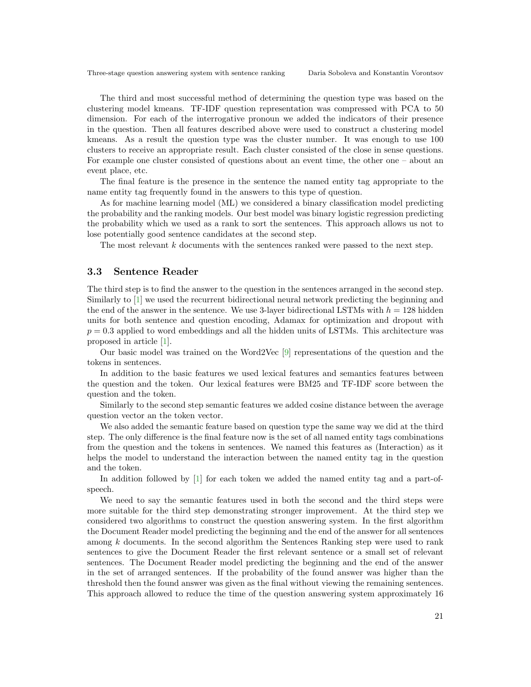The third and most successful method of determining the question type was based on the clustering model kmeans. TF-IDF question representation was compressed with PCA to 50 dimension. For each of the interrogative pronoun we added the indicators of their presence in the question. Then all features described above were used to construct a clustering model kmeans. As a result the question type was the cluster number. It was enough to use 100 clusters to receive an appropriate result. Each cluster consisted of the close in sense questions. For example one cluster consisted of questions about an event time, the other one – about an event place, etc.

The final feature is the presence in the sentence the named entity tag appropriate to the name entity tag frequently found in the answers to this type of question.

As for machine learning model (ML) we considered a binary classification model predicting the probability and the ranking models. Our best model was binary logistic regression predicting the probability which we used as a rank to sort the sentences. This approach allows us not to lose potentially good sentence candidates at the second step.

The most relevant k documents with the sentences ranked were passed to the next step.

### 3.3 Sentence Reader

The third step is to find the answer to the question in the sentences arranged in the second step. Similarly to [\[1\]](#page-6-0) we used the recurrent bidirectional neural network predicting the beginning and the end of the answer in the sentence. We use 3-layer bidirectional LSTMs with  $h = 128$  hidden units for both sentence and question encoding, Adamax for optimization and dropout with  $p = 0.3$  applied to word embeddings and all the hidden units of LSTMs. This architecture was proposed in article [\[1\]](#page-6-0).

Our basic model was trained on the Word2Vec [\[9\]](#page-7-6) representations of the question and the tokens in sentences.

In addition to the basic features we used lexical features and semantics features between the question and the token. Our lexical features were BM25 and TF-IDF score between the question and the token.

Similarly to the second step semantic features we added cosine distance between the average question vector an the token vector.

We also added the semantic feature based on question type the same way we did at the third step. The only difference is the final feature now is the set of all named entity tags combinations from the question and the tokens in sentences. We named this features as (Interaction) as it helps the model to understand the interaction between the named entity tag in the question and the token.

In addition followed by [\[1\]](#page-6-0) for each token we added the named entity tag and a part-ofspeech.

We need to say the semantic features used in both the second and the third steps were more suitable for the third step demonstrating stronger improvement. At the third step we considered two algorithms to construct the question answering system. In the first algorithm the Document Reader model predicting the beginning and the end of the answer for all sentences among k documents. In the second algorithm the Sentences Ranking step were used to rank sentences to give the Document Reader the first relevant sentence or a small set of relevant sentences. The Document Reader model predicting the beginning and the end of the answer in the set of arranged sentences. If the probability of the found answer was higher than the threshold then the found answer was given as the final without viewing the remaining sentences. This approach allowed to reduce the time of the question answering system approximately 16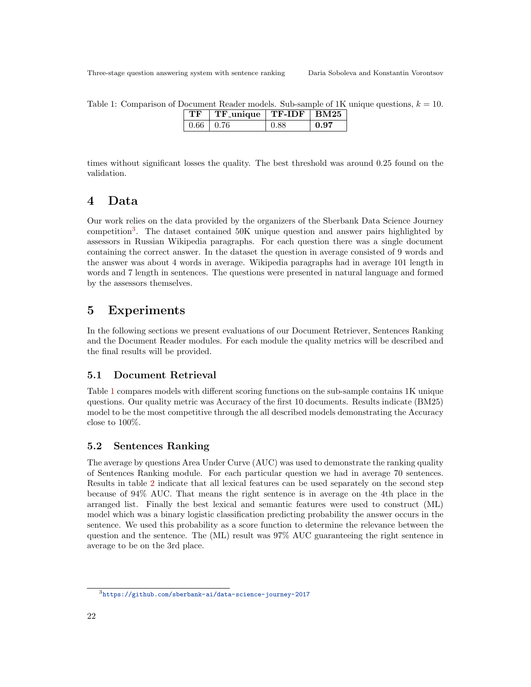<span id="page-4-1"></span>Table 1: Comparison of Document Reader models. Sub-sample of 1K unique questions,  $k = 10$ .

|                 | $TF$ -unique   $TF$ -IDF   BM25 |      |      |
|-----------------|---------------------------------|------|------|
| $0.66 \pm 0.76$ |                                 | A 88 | በ 97 |

times without significant losses the quality. The best threshold was around 0.25 found on the validation.

# 4 Data

Our work relies on the data provided by the organizers of the Sberbank Data Science Journey competition<sup>[3](#page-4-0)</sup>. The dataset contained 50K unique question and answer pairs highlighted by assessors in Russian Wikipedia paragraphs. For each question there was a single document containing the correct answer. In the dataset the question in average consisted of 9 words and the answer was about 4 words in average. Wikipedia paragraphs had in average 101 length in words and 7 length in sentences. The questions were presented in natural language and formed by the assessors themselves.

# 5 Experiments

In the following sections we present evaluations of our Document Retriever, Sentences Ranking and the Document Reader modules. For each module the quality metrics will be described and the final results will be provided.

### 5.1 Document Retrieval

Table [1](#page-4-1) compares models with different scoring functions on the sub-sample contains 1K unique questions. Our quality metric was Accuracy of the first 10 documents. Results indicate (BM25) model to be the most competitive through the all described models demonstrating the Accuracy close to 100%.

### 5.2 Sentences Ranking

The average by questions Area Under Curve (AUC) was used to demonstrate the ranking quality of Sentences Ranking module. For each particular question we had in average 70 sentences. Results in table [2](#page-5-0) indicate that all lexical features can be used separately on the second step because of 94% AUC. That means the right sentence is in average on the 4th place in the arranged list. Finally the best lexical and semantic features were used to construct (ML) model which was a binary logistic classification predicting probability the answer occurs in the sentence. We used this probability as a score function to determine the relevance between the question and the sentence. The (ML) result was 97% AUC guaranteeing the right sentence in average to be on the 3rd place.

<span id="page-4-0"></span><sup>3</sup><https://github.com/sberbank-ai/data-science-journey-2017>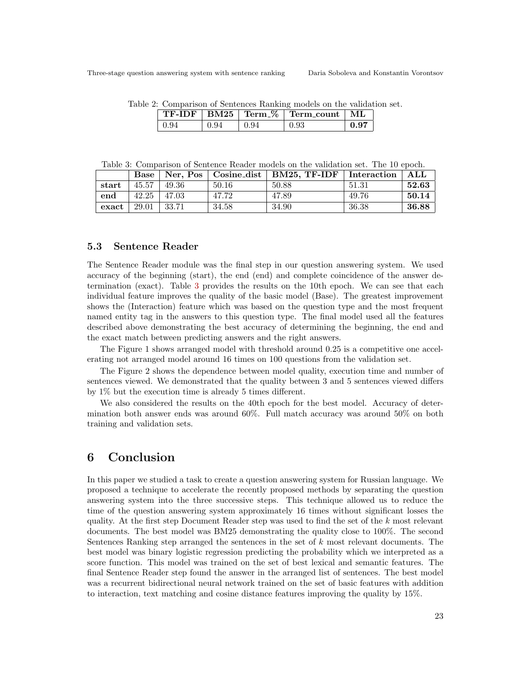|  | Table 2: Comparison of Sentences Ranking models on the validation set. |  |  |  |
|--|------------------------------------------------------------------------|--|--|--|
|  |                                                                        |  |  |  |

<span id="page-5-0"></span>

| <b>BM25</b> | $\sim$<br>Term<br>$\frac{9}{6}$ | Term<br>count. | MT |
|-------------|---------------------------------|----------------|----|
|             | 94                              |                |    |

<span id="page-5-1"></span>Table 3: Comparison of Sentence Reader models on the validation set. The 10 epoch.

|       |       |       |       | Base   Ner, Pos   Cosine_dist   BM25, TF-IDF   Interaction |       | ALL   |
|-------|-------|-------|-------|------------------------------------------------------------|-------|-------|
| start | 45.57 | 49.36 | 50.16 | 50.88                                                      | 51.31 | 52.63 |
| end   | 42.25 | 47.03 | 47.72 | 47.89                                                      | 49.76 | 50.14 |
| exact | 29.01 | 33.71 | 34.58 | 34.90                                                      | 36.38 | 36.88 |

#### 5.3 Sentence Reader

The Sentence Reader module was the final step in our question answering system. We used accuracy of the beginning (start), the end (end) and complete coincidence of the answer determination (exact). Table [3](#page-5-1) provides the results on the 10th epoch. We can see that each individual feature improves the quality of the basic model (Base). The greatest improvement shows the (Interaction) feature which was based on the question type and the most frequent named entity tag in the answers to this question type. The final model used all the features described above demonstrating the best accuracy of determining the beginning, the end and the exact match between predicting answers and the right answers.

The Figure 1 shows arranged model with threshold around 0.25 is a competitive one accelerating not arranged model around 16 times on 100 questions from the validation set.

The Figure 2 shows the dependence between model quality, execution time and number of sentences viewed. We demonstrated that the quality between 3 and 5 sentences viewed differs by 1% but the execution time is already 5 times different.

We also considered the results on the 40th epoch for the best model. Accuracy of determination both answer ends was around 60%. Full match accuracy was around 50% on both training and validation sets.

### 6 Conclusion

In this paper we studied a task to create a question answering system for Russian language. We proposed a technique to accelerate the recently proposed methods by separating the question answering system into the three successive steps. This technique allowed us to reduce the time of the question answering system approximately 16 times without significant losses the quality. At the first step Document Reader step was used to find the set of the  $k$  most relevant documents. The best model was BM25 demonstrating the quality close to 100%. The second Sentences Ranking step arranged the sentences in the set of k most relevant documents. The best model was binary logistic regression predicting the probability which we interpreted as a score function. This model was trained on the set of best lexical and semantic features. The final Sentence Reader step found the answer in the arranged list of sentences. The best model was a recurrent bidirectional neural network trained on the set of basic features with addition to interaction, text matching and cosine distance features improving the quality by 15%.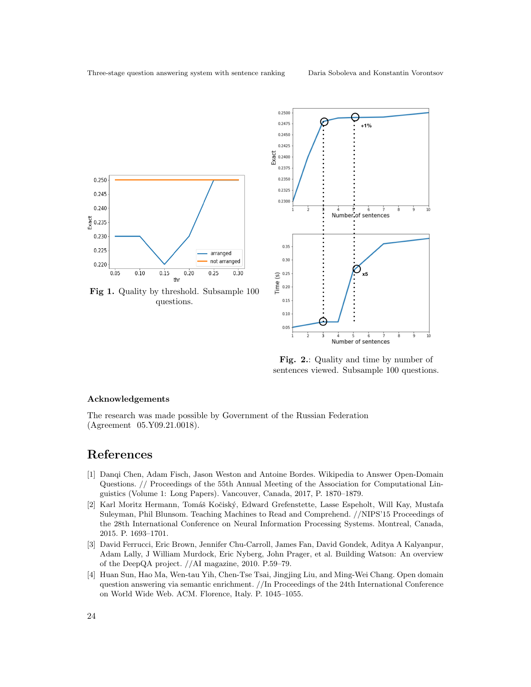



Fig. 2.: Quality and time by number of sentences viewed. Subsample 100 questions.

#### Acknowledgements

The research was made possible by Government of the Russian Federation (Agreement 05.Y09.21.0018).

# References

- <span id="page-6-0"></span>[1] Danqi Chen, Adam Fisch, Jason Weston and Antoine Bordes. Wikipedia to Answer Open-Domain Questions. // Proceedings of the 55th Annual Meeting of the Association for Computational Linguistics (Volume 1: Long Papers). Vancouver, Canada, 2017, P. 1870–1879.
- <span id="page-6-1"></span>[2] Karl Moritz Hermann, Tomáš Kočiský, Edward Grefenstette, Lasse Espeholt, Will Kay, Mustafa Suleyman, Phil Blunsom. Teaching Machines to Read and Comprehend. //NIPS'15 Proceedings of the 28th International Conference on Neural Information Processing Systems. Montreal, Canada, 2015. P. 1693–1701.
- <span id="page-6-2"></span>[3] David Ferrucci, Eric Brown, Jennifer Chu-Carroll, James Fan, David Gondek, Aditya A Kalyanpur, Adam Lally, J William Murdock, Eric Nyberg, John Prager, et al. Building Watson: An overview of the DeepQA project. //AI magazine, 2010. P.59–79.
- <span id="page-6-3"></span>[4] Huan Sun, Hao Ma, Wen-tau Yih, Chen-Tse Tsai, Jingjing Liu, and Ming-Wei Chang. Open domain question answering via semantic enrichment. //In Proceedings of the 24th International Conference on World Wide Web. ACM. Florence, Italy. P. 1045–1055.